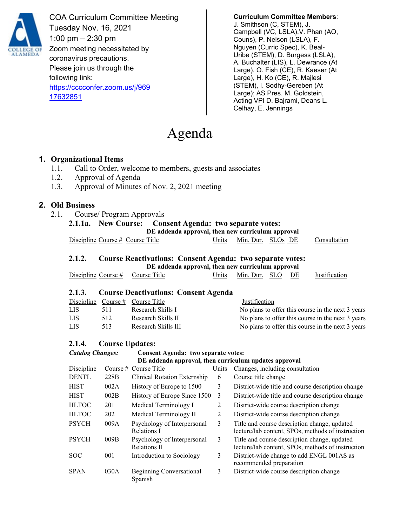

COA Curriculum Committee Meeting Tuesday Nov. 16, 2021 1:00 pm – 2:30 pm Zoom meeting necessitated by coronavirus precautions. Please join us through the following link: [https://cccconfer.zoom.us/j/969](https://cccconfer.zoom.us/j/96917632851) [17632851](https://cccconfer.zoom.us/j/96917632851)

#### **Curriculum Committee Members**: J. Smithson (C, STEM), J. Campbell (VC, LSLA),V. Phan (AO, Couns), P. Nelson (LSLA), F. Nguyen (Curric Spec), K. Beal-Uribe (STEM), D. Burgess (LSLA), A. Buchalter (LIS), L. Dewrance (At Large), O. Fish (CE), R. Kaeser (At Large), H. Ko (CE), R. Majlesi (STEM), I. Sodhy-Gereben (At Large); AS Pres. M. Goldstein, Acting VPI D. Bajrami, Deans L. Celhay, E. Jennings

# Agenda

#### **1. Organizational Items**

- 1.1. Call to Order, welcome to members, guests and associates
- 1.2. Approval of Agenda
- 1.3. Approval of Minutes of Nov. 2, 2021 meeting

#### **2. Old Business**

2.1. Course/ Program Approvals

## **2.1.1a. New Course: Consent Agenda: two separate votes: DE addenda approval, then new curriculum approval**

Discipline Course # Course Title Units Min. Dur. SLOs DE Consultation

### **2.1.2. Course Reactivations: Consent Agenda: two separate votes: DE addenda approval, then new curriculum approval**

| Discipline Course # Course Title |  |  | Units Min. Dur. SLO DE Justification |
|----------------------------------|--|--|--------------------------------------|

#### **2.1.3. Course Deactivations: Consent Agenda**

|            |     | Discipline Course $\#$ Course Title | Justification                                     |
|------------|-----|-------------------------------------|---------------------------------------------------|
| LIS        | 511 | Research Skills I                   | No plans to offer this course in the next 3 years |
| <b>LIS</b> | 512 | Research Skills II                  | No plans to offer this course in the next 3 years |
| LIS.       | 513 | Research Skills III                 | No plans to offer this course in the next 3 years |

#### **2.1.4. Course Updates:**

#### *Catalog Changes:* **Consent Agenda: two separate votes: DE addenda approval, then curriculum updates approval** Discipline Course # Course Title Units Changes, including consultation DENTL 228B Clinical Rotation Externship 6 Course title change HIST 002A History of Europe to 1500 3 District-wide title and course description change HIST 002B History of Europe Since 1500 3 District-wide title and course description change HLTOC 201 Medical Terminology I 2 District-wide course description change HLTOC 202 Medical Terminology II 2 District-wide course description change PSYCH 009A Psychology of Interpersonal Relations I 3 Title and course description change, updated lecture/lab content, SPOs, methods of instruction PSYCH 009B Psychology of Interpersonal Relations II 3 Title and course description change, updated lecture/lab content, SPOs, methods of instruction SOC 001 Introduction to Sociology 3 District-wide change to add ENGL 001AS as recommended preparation SPAN 030A Beginning Conversational Spanish 3 District-wide course description change